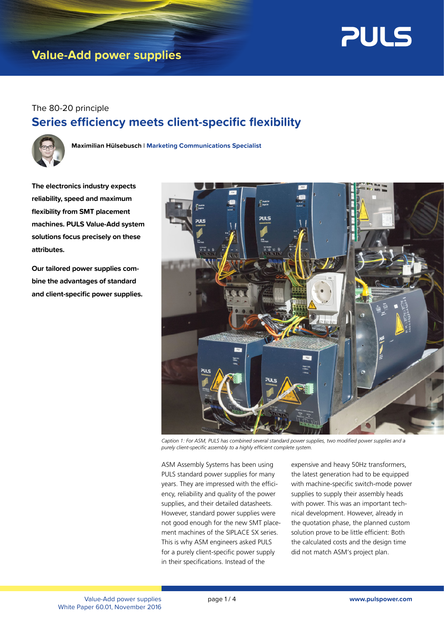

## **Value-Add power supplies**

### The 80-20 principle **Series efficiency meets client-specific flexibility**



**Maximilian Hülsebusch** l **Marketing Communications Specialist**

**The electronics industry expects reliability, speed and maximum flexibility from SMT placement machines. PULS Value-Add system solutions focus precisely on these attributes.** 

**Our tailored power supplies combine the advantages of standard and client-specific power supplies.**



*Caption 1: For ASM, PULS has combined several standard power supplies, two modified power supplies and a purely client-specific assembly to a highly efficient complete system.*

ASM Assembly Systems has been using PULS standard power supplies for many years. They are impressed with the efficiency, reliability and quality of the power supplies, and their detailed datasheets. However, standard power supplies were not good enough for the new SMT placement machines of the SIPLACE SX series. This is why ASM engineers asked PULS for a purely client-specific power supply in their specifications. Instead of the

expensive and heavy 50Hz transformers, the latest generation had to be equipped with machine-specific switch-mode power supplies to supply their assembly heads with power. This was an important technical development. However, already in the quotation phase, the planned custom solution prove to be little efficient: Both the calculated costs and the design time did not match ASM's project plan.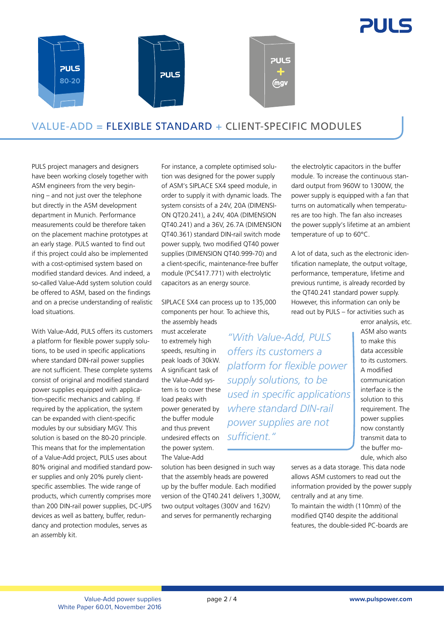



### VALUE-ADD = FLEXIBLE STANDARD + CLIENT-SPECIFIC MODULES

PULS project managers and designers have been working closely together with ASM engineers from the very beginning – and not just over the telephone but directly in the ASM development department in Munich. Performance measurements could be therefore taken on the placement machine prototypes at an early stage. PULS wanted to find out if this project could also be implemented with a cost-optimised system based on modified standard devices. And indeed, a so-called Value-Add system solution could be offered to ASM, based on the findings and on a precise understanding of realistic load situations.

With Value-Add, PULS offers its customers a platform for flexible power supply solutions, to be used in specific applications where standard DIN-rail power supplies are not sufficient. These complete systems consist of original and modified standard power supplies equipped with application-specific mechanics and cabling. If required by the application, the system can be expanded with client-specific modules by our subsidiary MGV. This solution is based on the 80-20 principle. This means that for the implementation of a Value-Add project, PULS uses about 80% original and modified standard power supplies and only 20% purely clientspecific assemblies. The wide range of products, which currently comprises more than 200 DIN-rail power supplies, DC-UPS devices as well as battery, buffer, redundancy and protection modules, serves as an assembly kit.

For instance, a complete optimised solution was designed for the power supply of ASM's SIPLACE SX4 speed module, in order to supply it with dynamic loads. The system consists of a 24V, 20A (DIMENSI-ON QT20.241), a 24V, 40A (DIMENSION QT40.241) and a 36V, 26.7A (DIMENSION QT40.361) standard DIN-rail switch mode power supply, two modified QT40 power supplies (DIMENSION QT40.999-70) and a client-specific, maintenance-free buffer module (PCS417.771) with electrolytic capacitors as an energy source.

SIPLACE SX4 can process up to 135,000 components per hour. To achieve this, the assembly heads

> *"With Value-Add, PULS offers its customers a*

*supply solutions, to be* 

*power supplies are not* 

*sufficient."*

*platform for flexible power* 

*used in specific applications* 

must accelerate to extremely high speeds, resulting in peak loads of 30kW. A significant task of the Value-Add system is to cover these load peaks with power generated by the buffer module and thus prevent undesired effects on the power system. The Value-Add *where standard DIN-rail* 

solution has been designed in such way that the assembly heads are powered up by the buffer module. Each modified version of the QT40.241 delivers 1,300W, two output voltages (300V and 162V) and serves for permanently recharging

the electrolytic capacitors in the buffer module. To increase the continuous standard output from 960W to 1300W, the power supply is equipped with a fan that turns on automatically when temperatures are too high. The fan also increases the power supply's lifetime at an ambient temperature of up to 60°C.

A lot of data, such as the electronic identification nameplate, the output voltage, performance, temperature, lifetime and previous runtime, is already recorded by the QT40.241 standard power supply. However, this information can only be read out by PULS – for activities such as

error analysis, etc. ASM also wants to make this data accessible to its customers. A modified communication interface is the solution to this requirement. The power supplies now constantly transmit data to the buffer mo-

allows ASM customers to read out the information provided by the power supply centrally and at any time. To maintain the width (110mm) of the modified QT40 despite the additional features, the double-sided PC-boards are

dule, which also serves as a data storage. This data node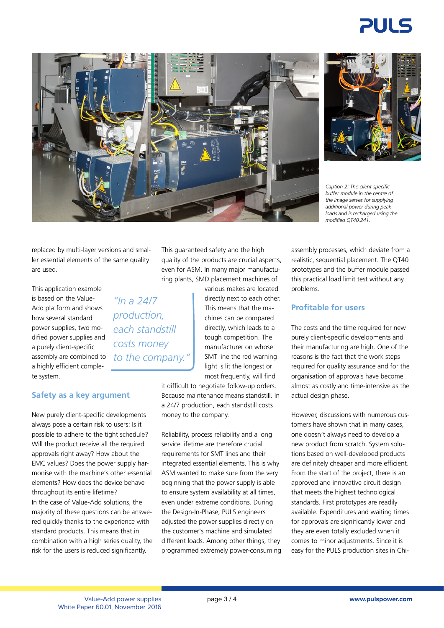# 21 II C





*Caption 2: The client-specific buffer module in the centre of the image serves for supplying additional power during peak loads and is recharged using the modified QT40.241.*

replaced by multi-layer versions and smaller essential elements of the same quality are used.

This application example is based on the Value-Add platform and shows how several standard power supplies, two modified power supplies and a purely client-specific assembly are combined to a highly efficient complete system.

#### **Safety as a key argument**

New purely client-specific developments always pose a certain risk to users: Is it possible to adhere to the tight schedule? Will the product receive all the required approvals right away? How about the EMC values? Does the power supply harmonise with the machine's other essential elements? How does the device behave throughout its entire lifetime? In the case of Value-Add solutions, the majority of these questions can be answered quickly thanks to the experience with standard products. This means that in combination with a high series quality, the risk for the users is reduced significantly.

This guaranteed safety and the high quality of the products are crucial aspects, even for ASM. In many major manufacturing plants, SMD placement machines of

> various makes are located directly next to each other. This means that the machines can be compared directly, which leads to a tough competition. The manufacturer on whose SMT line the red warning light is lit the longest or most frequently, will find

it difficult to negotiate follow-up orders. Because maintenance means standstill. In a 24/7 production, each standstill costs money to the company.

Reliability, process reliability and a long service lifetime are therefore crucial requirements for SMT lines and their integrated essential elements. This is why ASM wanted to make sure from the very beginning that the power supply is able to ensure system availability at all times, even under extreme conditions. During the Design-In-Phase, PULS engineers adjusted the power supplies directly on the customer's machine and simulated different loads. Among other things, they programmed extremely power-consuming assembly processes, which deviate from a realistic, sequential placement. The QT40 prototypes and the buffer module passed this practical load limit test without any problems.

#### **Profitable for users**

The costs and the time required for new purely client-specific developments and their manufacturing are high. One of the reasons is the fact that the work steps required for quality assurance and for the organisation of approvals have become almost as costly and time-intensive as the actual design phase.

However, discussions with numerous customers have shown that in many cases, one doesn't always need to develop a new product from scratch. System solutions based on well-developed products are definitely cheaper and more efficient. From the start of the project, there is an approved and innovative circuit design that meets the highest technological standards. First prototypes are readily available. Expenditures and waiting times for approvals are significantly lower and they are even totally excluded when it comes to minor adjustments. Since it is easy for the PULS production sites in Chi-

*"In a 24/7 production, each standstill costs money* 

*to the company."*